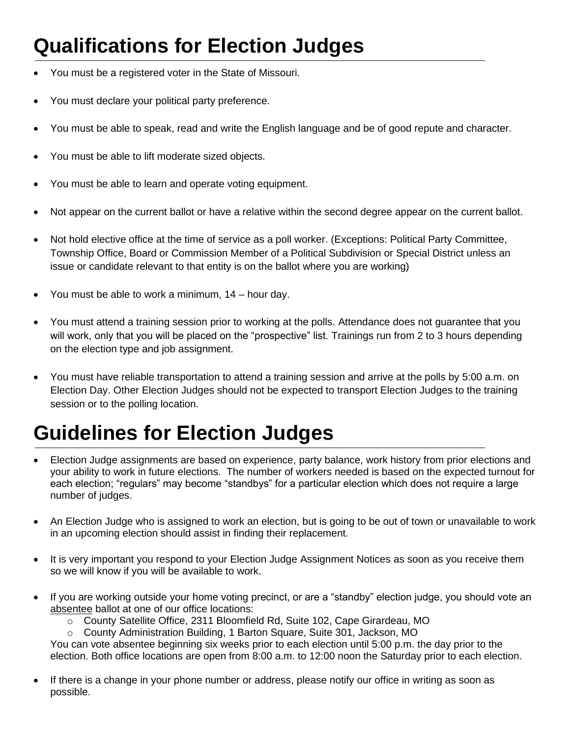## **Qualifications for Election Judges**

- You must be a registered voter in the State of Missouri.
- You must declare your political party preference.
- You must be able to speak, read and write the English language and be of good repute and character.
- You must be able to lift moderate sized objects.
- You must be able to learn and operate voting equipment.
- Not appear on the current ballot or have a relative within the second degree appear on the current ballot.
- Not hold elective office at the time of service as a poll worker. (Exceptions: Political Party Committee, Township Office, Board or Commission Member of a Political Subdivision or Special District unless an issue or candidate relevant to that entity is on the ballot where you are working)
- You must be able to work a minimum,  $14$  hour day.
- You must attend a training session prior to working at the polls. Attendance does not guarantee that you will work, only that you will be placed on the "prospective" list. Trainings run from 2 to 3 hours depending on the election type and job assignment.
- You must have reliable transportation to attend a training session and arrive at the polls by 5:00 a.m. on Election Day. Other Election Judges should not be expected to transport Election Judges to the training session or to the polling location.

## **Guidelines for Election Judges**

- Election Judge assignments are based on experience, party balance, work history from prior elections and your ability to work in future elections. The number of workers needed is based on the expected turnout for each election; "regulars" may become "standbys" for a particular election which does not require a large number of judges.
- An Election Judge who is assigned to work an election, but is going to be out of town or unavailable to work in an upcoming election should assist in finding their replacement.
- It is very important you respond to your Election Judge Assignment Notices as soon as you receive them so we will know if you will be available to work.
- If you are working outside your home voting precinct, or are a "standby" election judge, you should vote an absentee ballot at one of our office locations:
	- o County Satellite Office, 2311 Bloomfield Rd, Suite 102, Cape Girardeau, MO
	- o County Administration Building, 1 Barton Square, Suite 301, Jackson, MO

You can vote absentee beginning six weeks prior to each election until 5:00 p.m. the day prior to the election. Both office locations are open from 8:00 a.m. to 12:00 noon the Saturday prior to each election.

If there is a change in your phone number or address, please notify our office in writing as soon as possible.